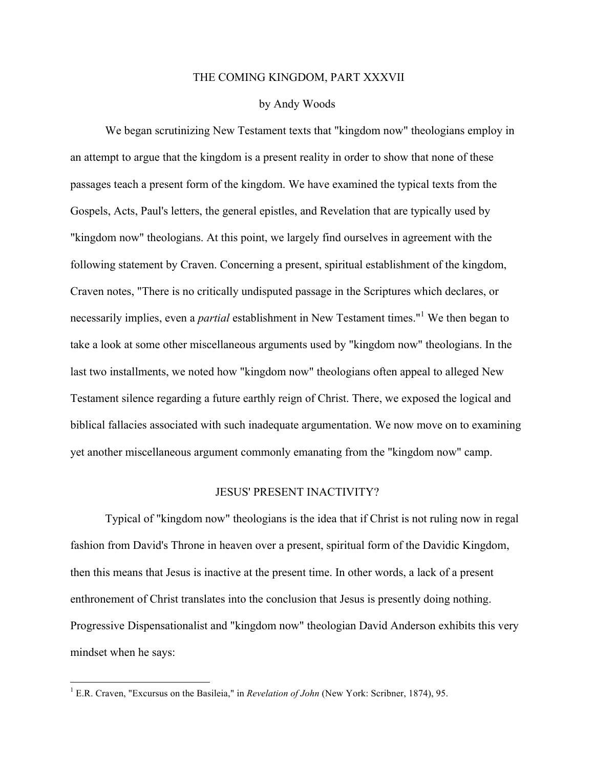### THE COMING KINGDOM, PART XXXVII

### by Andy Woods

We began scrutinizing New Testament texts that "kingdom now" theologians employ in an attempt to argue that the kingdom is a present reality in order to show that none of these passages teach a present form of the kingdom. We have examined the typical texts from the Gospels, Acts, Paul's letters, the general epistles, and Revelation that are typically used by "kingdom now" theologians. At this point, we largely find ourselves in agreement with the following statement by Craven. Concerning a present, spiritual establishment of the kingdom, Craven notes, "There is no critically undisputed passage in the Scriptures which declares, or necessarily implies, even a *partial* establishment in New Testament times."<sup>1</sup> We then began to take a look at some other miscellaneous arguments used by "kingdom now" theologians. In the last two installments, we noted how "kingdom now" theologians often appeal to alleged New Testament silence regarding a future earthly reign of Christ. There, we exposed the logical and biblical fallacies associated with such inadequate argumentation. We now move on to examining yet another miscellaneous argument commonly emanating from the "kingdom now" camp.

### JESUS' PRESENT INACTIVITY?

Typical of "kingdom now" theologians is the idea that if Christ is not ruling now in regal fashion from David's Throne in heaven over a present, spiritual form of the Davidic Kingdom, then this means that Jesus is inactive at the present time. In other words, a lack of a present enthronement of Christ translates into the conclusion that Jesus is presently doing nothing. Progressive Dispensationalist and "kingdom now" theologian David Anderson exhibits this very mindset when he says:

<sup>&</sup>lt;sup>1</sup> E.R. Craven, "Excursus on the Basileia," in *Revelation of John* (New York: Scribner, 1874), 95.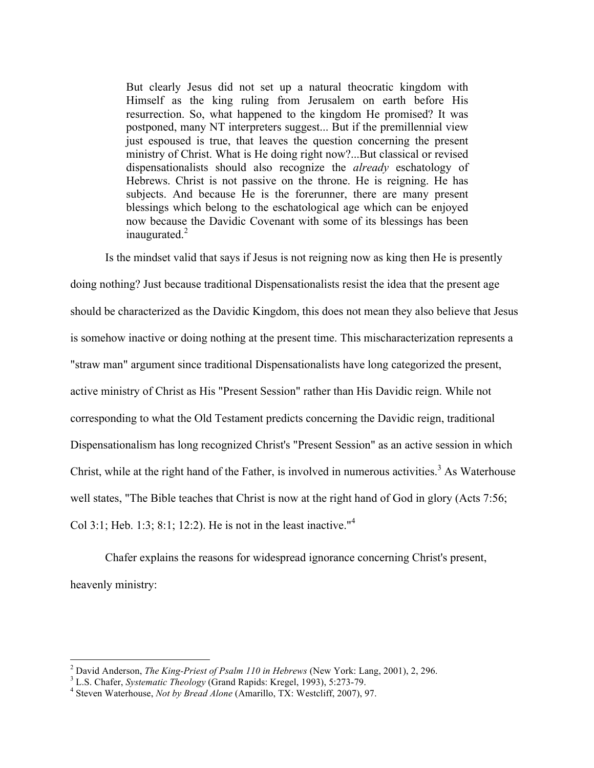But clearly Jesus did not set up a natural theocratic kingdom with Himself as the king ruling from Jerusalem on earth before His resurrection. So, what happened to the kingdom He promised? It was postponed, many NT interpreters suggest... But if the premillennial view just espoused is true, that leaves the question concerning the present ministry of Christ. What is He doing right now?...But classical or revised dispensationalists should also recognize the *already* eschatology of Hebrews. Christ is not passive on the throne. He is reigning. He has subjects. And because He is the forerunner, there are many present blessings which belong to the eschatological age which can be enjoyed now because the Davidic Covenant with some of its blessings has been inaugurated. $2$ 

Is the mindset valid that says if Jesus is not reigning now as king then He is presently doing nothing? Just because traditional Dispensationalists resist the idea that the present age should be characterized as the Davidic Kingdom, this does not mean they also believe that Jesus is somehow inactive or doing nothing at the present time. This mischaracterization represents a "straw man" argument since traditional Dispensationalists have long categorized the present, active ministry of Christ as His "Present Session" rather than His Davidic reign. While not corresponding to what the Old Testament predicts concerning the Davidic reign, traditional Dispensationalism has long recognized Christ's "Present Session" as an active session in which Christ, while at the right hand of the Father, is involved in numerous activities.<sup>3</sup> As Waterhouse well states, "The Bible teaches that Christ is now at the right hand of God in glory (Acts 7:56; Col 3:1; Heb. 1:3; 8:1; 12:2). He is not in the least inactive."<sup>4</sup>

Chafer explains the reasons for widespread ignorance concerning Christ's present, heavenly ministry:

<sup>&</sup>lt;sup>2</sup> David Anderson, *The King-Priest of Psalm 110 in Hebrews* (New York: Lang, 2001), 2, 296.<br><sup>3</sup> L.S. Chafer, *Systematic Theology* (Grand Rapids: Kregel, 1993), 5:273-79.<br><sup>4</sup> Steven Waterhouse. *Not by Bread Alone* (Ama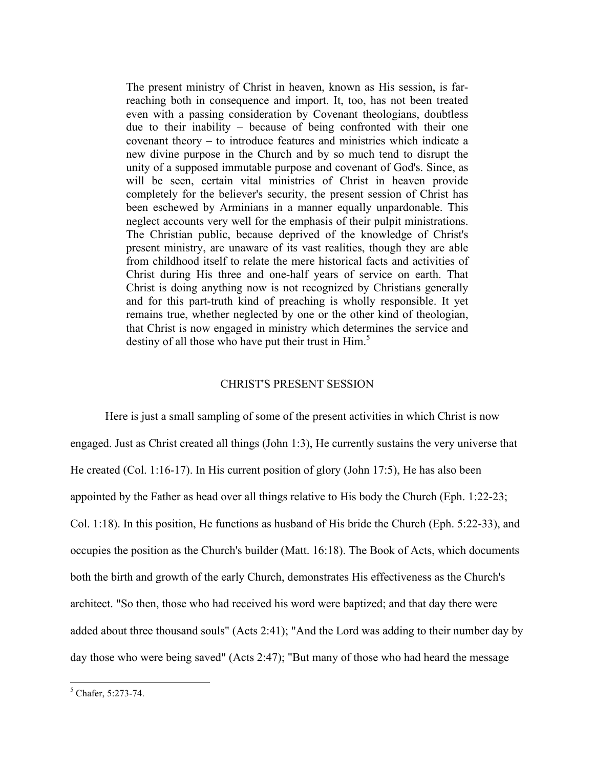The present ministry of Christ in heaven, known as His session, is farreaching both in consequence and import. It, too, has not been treated even with a passing consideration by Covenant theologians, doubtless due to their inability – because of being confronted with their one covenant theory – to introduce features and ministries which indicate a new divine purpose in the Church and by so much tend to disrupt the unity of a supposed immutable purpose and covenant of God's. Since, as will be seen, certain vital ministries of Christ in heaven provide completely for the believer's security, the present session of Christ has been eschewed by Arminians in a manner equally unpardonable. This neglect accounts very well for the emphasis of their pulpit ministrations. The Christian public, because deprived of the knowledge of Christ's present ministry, are unaware of its vast realities, though they are able from childhood itself to relate the mere historical facts and activities of Christ during His three and one-half years of service on earth. That Christ is doing anything now is not recognized by Christians generally and for this part-truth kind of preaching is wholly responsible. It yet remains true, whether neglected by one or the other kind of theologian, that Christ is now engaged in ministry which determines the service and destiny of all those who have put their trust in  $\text{Him}$ <sup>5</sup>

# CHRIST'S PRESENT SESSION

Here is just a small sampling of some of the present activities in which Christ is now engaged. Just as Christ created all things (John 1:3), He currently sustains the very universe that He created (Col. 1:16-17). In His current position of glory (John 17:5), He has also been appointed by the Father as head over all things relative to His body the Church (Eph. 1:22-23; Col. 1:18). In this position, He functions as husband of His bride the Church (Eph. 5:22-33), and occupies the position as the Church's builder (Matt. 16:18). The Book of Acts, which documents both the birth and growth of the early Church, demonstrates His effectiveness as the Church's architect. "So then, those who had received his word were baptized; and that day there were added about three thousand souls" (Acts 2:41); "And the Lord was adding to their number day by day those who were being saved" (Acts 2:47); "But many of those who had heard the message

 $5$  Chafer, 5:273-74.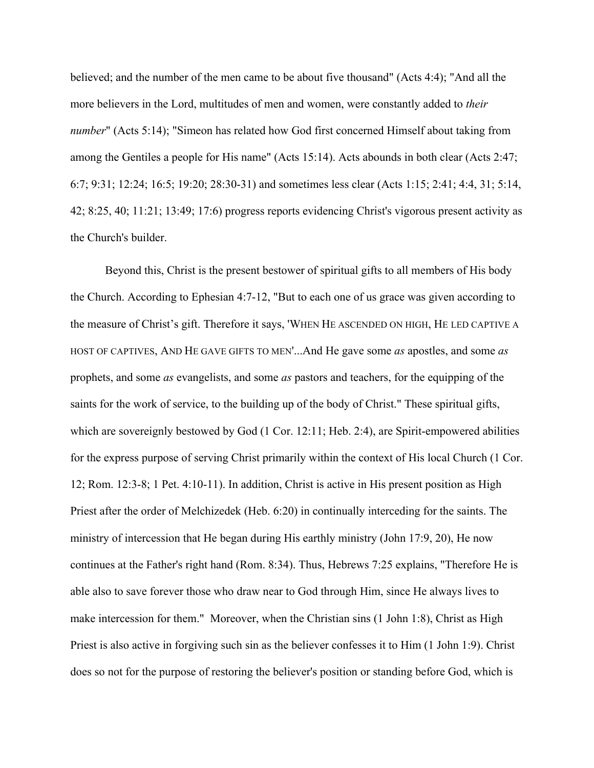believed; and the number of the men came to be about five thousand" (Acts 4:4); "And all the more believers in the Lord, multitudes of men and women, were constantly added to *their number*" (Acts 5:14); "Simeon has related how God first concerned Himself about taking from among the Gentiles a people for His name" (Acts 15:14). Acts abounds in both clear (Acts 2:47; 6:7; 9:31; 12:24; 16:5; 19:20; 28:30-31) and sometimes less clear (Acts 1:15; 2:41; 4:4, 31; 5:14, 42; 8:25, 40; 11:21; 13:49; 17:6) progress reports evidencing Christ's vigorous present activity as the Church's builder.

Beyond this, Christ is the present bestower of spiritual gifts to all members of His body the Church. According to Ephesian 4:7-12, "But to each one of us grace was given according to the measure of Christ's gift. Therefore it says, 'WHEN HE ASCENDED ON HIGH, HE LED CAPTIVE A HOST OF CAPTIVES, AND HE GAVE GIFTS TO MEN'...And He gave some *as* apostles, and some *as* prophets, and some *as* evangelists, and some *as* pastors and teachers, for the equipping of the saints for the work of service, to the building up of the body of Christ." These spiritual gifts, which are sovereignly bestowed by God (1 Cor. 12:11; Heb. 2:4), are Spirit-empowered abilities for the express purpose of serving Christ primarily within the context of His local Church (1 Cor. 12; Rom. 12:3-8; 1 Pet. 4:10-11). In addition, Christ is active in His present position as High Priest after the order of Melchizedek (Heb. 6:20) in continually interceding for the saints. The ministry of intercession that He began during His earthly ministry (John 17:9, 20), He now continues at the Father's right hand (Rom. 8:34). Thus, Hebrews 7:25 explains, "Therefore He is able also to save forever those who draw near to God through Him, since He always lives to make intercession for them." Moreover, when the Christian sins (1 John 1:8), Christ as High Priest is also active in forgiving such sin as the believer confesses it to Him (1 John 1:9). Christ does so not for the purpose of restoring the believer's position or standing before God, which is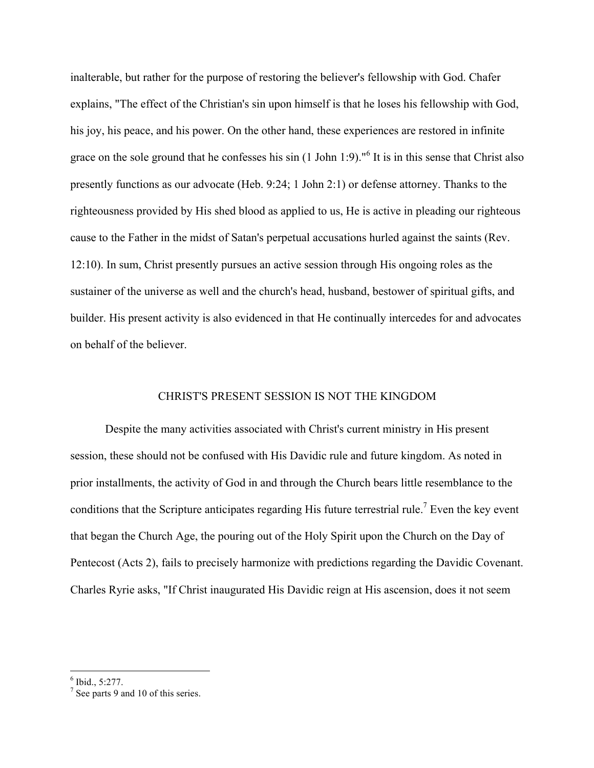inalterable, but rather for the purpose of restoring the believer's fellowship with God. Chafer explains, "The effect of the Christian's sin upon himself is that he loses his fellowship with God, his joy, his peace, and his power. On the other hand, these experiences are restored in infinite grace on the sole ground that he confesses his sin (1 John 1:9)."<sup>6</sup> It is in this sense that Christ also presently functions as our advocate (Heb. 9:24; 1 John 2:1) or defense attorney. Thanks to the righteousness provided by His shed blood as applied to us, He is active in pleading our righteous cause to the Father in the midst of Satan's perpetual accusations hurled against the saints (Rev. 12:10). In sum, Christ presently pursues an active session through His ongoing roles as the sustainer of the universe as well and the church's head, husband, bestower of spiritual gifts, and builder. His present activity is also evidenced in that He continually intercedes for and advocates on behalf of the believer.

# CHRIST'S PRESENT SESSION IS NOT THE KINGDOM

Despite the many activities associated with Christ's current ministry in His present session, these should not be confused with His Davidic rule and future kingdom. As noted in prior installments, the activity of God in and through the Church bears little resemblance to the conditions that the Scripture anticipates regarding His future terrestrial rule.<sup>7</sup> Even the key event that began the Church Age, the pouring out of the Holy Spirit upon the Church on the Day of Pentecost (Acts 2), fails to precisely harmonize with predictions regarding the Davidic Covenant. Charles Ryrie asks, "If Christ inaugurated His Davidic reign at His ascension, does it not seem

 $6$  Ibid., 5:277.

 $<sup>7</sup>$  See parts 9 and 10 of this series.</sup>